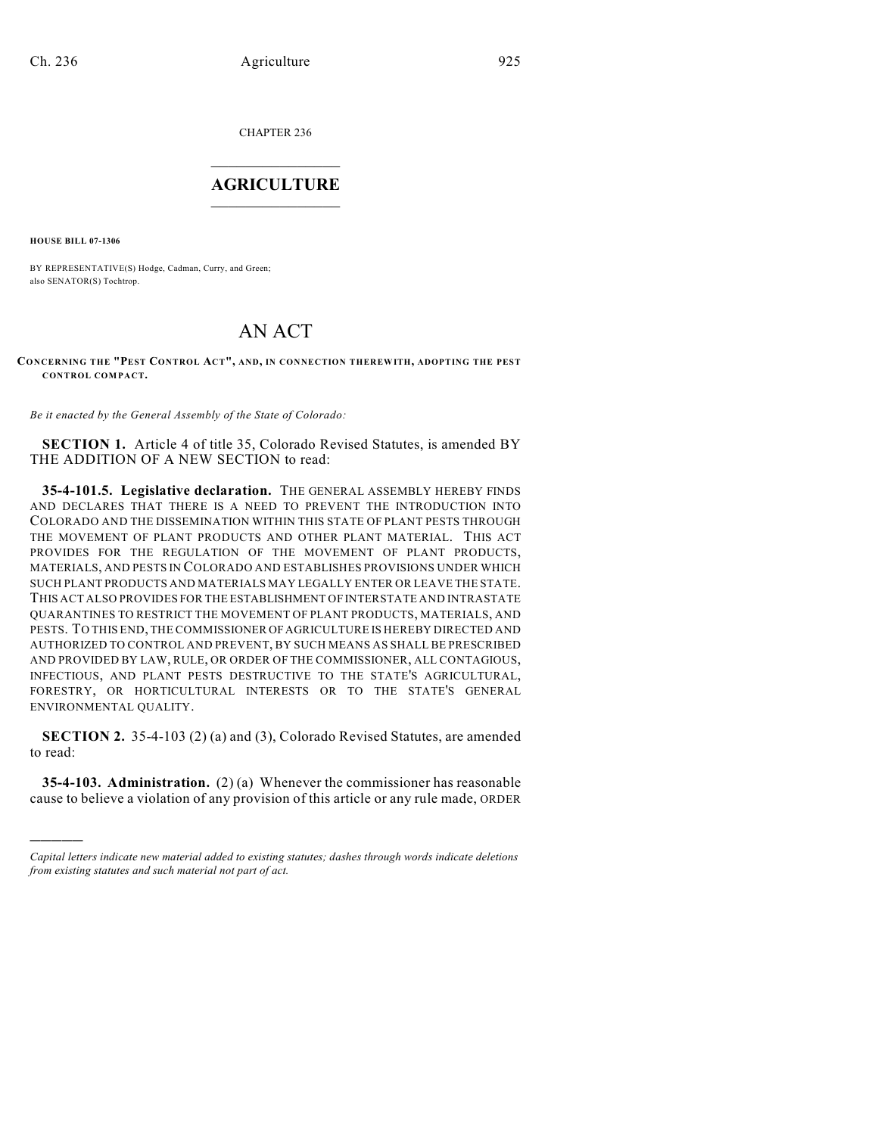CHAPTER 236

# $\overline{\phantom{a}}$  . The set of the set of the set of the set of the set of the set of the set of the set of the set of the set of the set of the set of the set of the set of the set of the set of the set of the set of the set o **AGRICULTURE**  $\_$   $\_$   $\_$   $\_$   $\_$   $\_$   $\_$   $\_$

**HOUSE BILL 07-1306**

)))))

BY REPRESENTATIVE(S) Hodge, Cadman, Curry, and Green; also SENATOR(S) Tochtrop.

# AN ACT

**CONCERNING THE "PEST CONTROL ACT", AND, IN CONNECTION THEREWITH, ADOPTING THE PEST CONTROL COM PACT.**

*Be it enacted by the General Assembly of the State of Colorado:*

**SECTION 1.** Article 4 of title 35, Colorado Revised Statutes, is amended BY THE ADDITION OF A NEW SECTION to read:

**35-4-101.5. Legislative declaration.** THE GENERAL ASSEMBLY HEREBY FINDS AND DECLARES THAT THERE IS A NEED TO PREVENT THE INTRODUCTION INTO COLORADO AND THE DISSEMINATION WITHIN THIS STATE OF PLANT PESTS THROUGH THE MOVEMENT OF PLANT PRODUCTS AND OTHER PLANT MATERIAL. THIS ACT PROVIDES FOR THE REGULATION OF THE MOVEMENT OF PLANT PRODUCTS, MATERIALS, AND PESTS IN COLORADO AND ESTABLISHES PROVISIONS UNDER WHICH SUCH PLANT PRODUCTS AND MATERIALS MAY LEGALLY ENTER OR LEAVE THE STATE. THIS ACT ALSO PROVIDES FOR THE ESTABLISHMENT OF INTERSTATE AND INTRASTATE QUARANTINES TO RESTRICT THE MOVEMENT OF PLANT PRODUCTS, MATERIALS, AND PESTS. TO THIS END, THE COMMISSIONER OF AGRICULTURE IS HEREBY DIRECTED AND AUTHORIZED TO CONTROL AND PREVENT, BY SUCH MEANS AS SHALL BE PRESCRIBED AND PROVIDED BY LAW, RULE, OR ORDER OF THE COMMISSIONER, ALL CONTAGIOUS, INFECTIOUS, AND PLANT PESTS DESTRUCTIVE TO THE STATE'S AGRICULTURAL, FORESTRY, OR HORTICULTURAL INTERESTS OR TO THE STATE'S GENERAL ENVIRONMENTAL QUALITY.

**SECTION 2.** 35-4-103 (2) (a) and (3), Colorado Revised Statutes, are amended to read:

**35-4-103. Administration.** (2) (a) Whenever the commissioner has reasonable cause to believe a violation of any provision of this article or any rule made, ORDER

*Capital letters indicate new material added to existing statutes; dashes through words indicate deletions from existing statutes and such material not part of act.*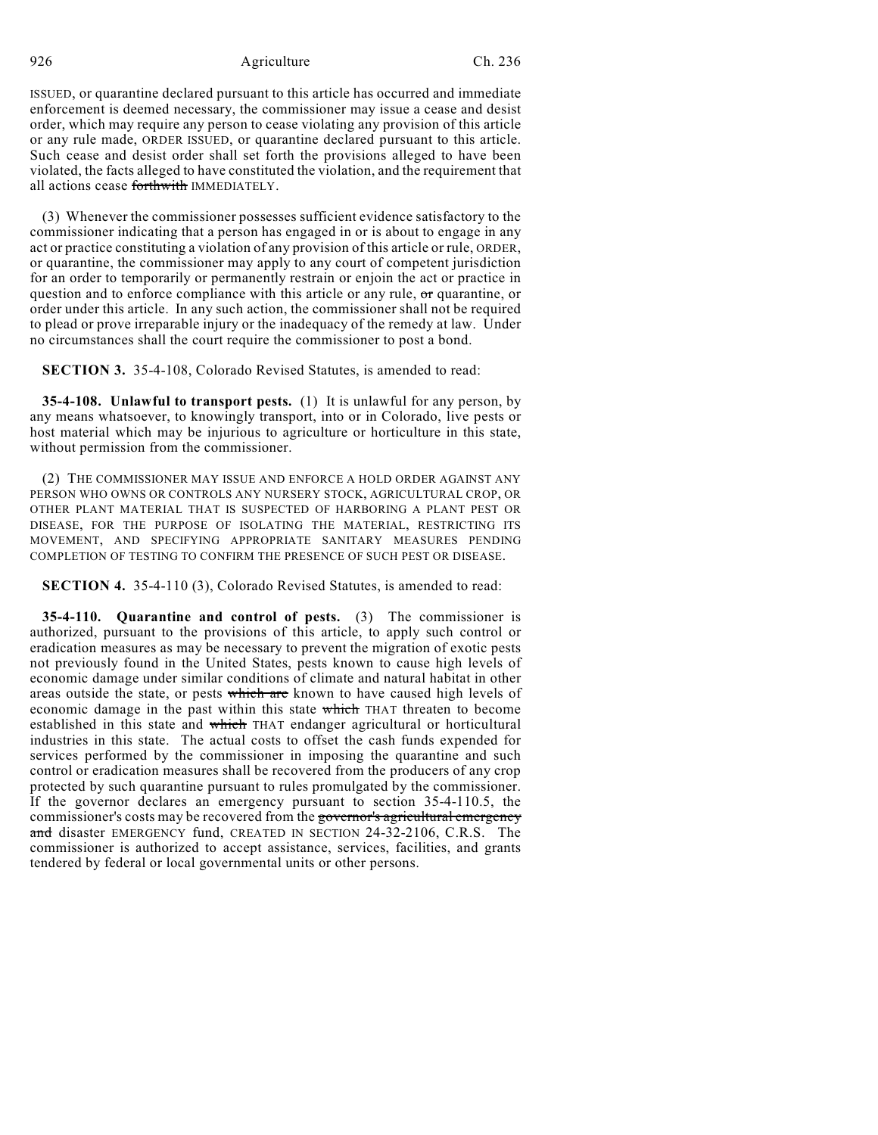ISSUED, or quarantine declared pursuant to this article has occurred and immediate enforcement is deemed necessary, the commissioner may issue a cease and desist order, which may require any person to cease violating any provision of this article or any rule made, ORDER ISSUED, or quarantine declared pursuant to this article. Such cease and desist order shall set forth the provisions alleged to have been violated, the facts alleged to have constituted the violation, and the requirement that all actions cease forthwith IMMEDIATELY.

(3) Whenever the commissioner possesses sufficient evidence satisfactory to the commissioner indicating that a person has engaged in or is about to engage in any act or practice constituting a violation of any provision of this article or rule, ORDER, or quarantine, the commissioner may apply to any court of competent jurisdiction for an order to temporarily or permanently restrain or enjoin the act or practice in question and to enforce compliance with this article or any rule, or quarantine, or order under this article. In any such action, the commissioner shall not be required to plead or prove irreparable injury or the inadequacy of the remedy at law. Under no circumstances shall the court require the commissioner to post a bond.

**SECTION 3.** 35-4-108, Colorado Revised Statutes, is amended to read:

**35-4-108. Unlawful to transport pests.** (1) It is unlawful for any person, by any means whatsoever, to knowingly transport, into or in Colorado, live pests or host material which may be injurious to agriculture or horticulture in this state, without permission from the commissioner.

(2) THE COMMISSIONER MAY ISSUE AND ENFORCE A HOLD ORDER AGAINST ANY PERSON WHO OWNS OR CONTROLS ANY NURSERY STOCK, AGRICULTURAL CROP, OR OTHER PLANT MATERIAL THAT IS SUSPECTED OF HARBORING A PLANT PEST OR DISEASE, FOR THE PURPOSE OF ISOLATING THE MATERIAL, RESTRICTING ITS MOVEMENT, AND SPECIFYING APPROPRIATE SANITARY MEASURES PENDING COMPLETION OF TESTING TO CONFIRM THE PRESENCE OF SUCH PEST OR DISEASE.

**SECTION 4.** 35-4-110 (3), Colorado Revised Statutes, is amended to read:

**35-4-110. Quarantine and control of pests.** (3) The commissioner is authorized, pursuant to the provisions of this article, to apply such control or eradication measures as may be necessary to prevent the migration of exotic pests not previously found in the United States, pests known to cause high levels of economic damage under similar conditions of climate and natural habitat in other areas outside the state, or pests which are known to have caused high levels of economic damage in the past within this state which THAT threaten to become established in this state and which THAT endanger agricultural or horticultural industries in this state. The actual costs to offset the cash funds expended for services performed by the commissioner in imposing the quarantine and such control or eradication measures shall be recovered from the producers of any crop protected by such quarantine pursuant to rules promulgated by the commissioner. If the governor declares an emergency pursuant to section 35-4-110.5, the commissioner's costs may be recovered from the governor's agricultural emergency and disaster EMERGENCY fund, CREATED IN SECTION 24-32-2106, C.R.S. The commissioner is authorized to accept assistance, services, facilities, and grants tendered by federal or local governmental units or other persons.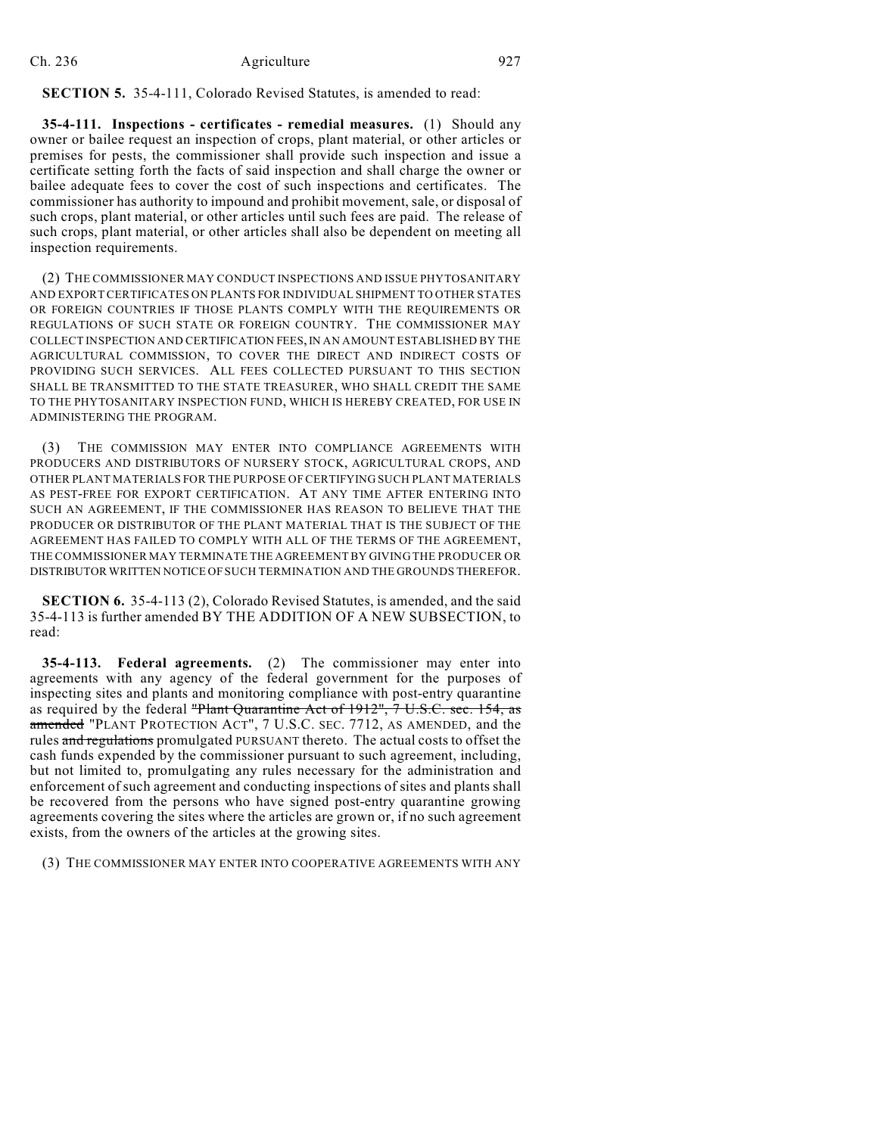## **SECTION 5.** 35-4-111, Colorado Revised Statutes, is amended to read:

**35-4-111. Inspections - certificates - remedial measures.** (1) Should any owner or bailee request an inspection of crops, plant material, or other articles or premises for pests, the commissioner shall provide such inspection and issue a certificate setting forth the facts of said inspection and shall charge the owner or bailee adequate fees to cover the cost of such inspections and certificates. The commissioner has authority to impound and prohibit movement, sale, or disposal of such crops, plant material, or other articles until such fees are paid. The release of such crops, plant material, or other articles shall also be dependent on meeting all inspection requirements.

(2) THE COMMISSIONER MAY CONDUCT INSPECTIONS AND ISSUE PHYTOSANITARY AND EXPORT CERTIFICATES ON PLANTS FOR INDIVIDUAL SHIPMENT TO OTHER STATES OR FOREIGN COUNTRIES IF THOSE PLANTS COMPLY WITH THE REQUIREMENTS OR REGULATIONS OF SUCH STATE OR FOREIGN COUNTRY. THE COMMISSIONER MAY COLLECT INSPECTION AND CERTIFICATION FEES, IN AN AMOUNT ESTABLISHED BY THE AGRICULTURAL COMMISSION, TO COVER THE DIRECT AND INDIRECT COSTS OF PROVIDING SUCH SERVICES. ALL FEES COLLECTED PURSUANT TO THIS SECTION SHALL BE TRANSMITTED TO THE STATE TREASURER, WHO SHALL CREDIT THE SAME TO THE PHYTOSANITARY INSPECTION FUND, WHICH IS HEREBY CREATED, FOR USE IN ADMINISTERING THE PROGRAM.

(3) THE COMMISSION MAY ENTER INTO COMPLIANCE AGREEMENTS WITH PRODUCERS AND DISTRIBUTORS OF NURSERY STOCK, AGRICULTURAL CROPS, AND OTHER PLANT MATERIALS FOR THE PURPOSE OF CERTIFYING SUCH PLANT MATERIALS AS PEST-FREE FOR EXPORT CERTIFICATION. AT ANY TIME AFTER ENTERING INTO SUCH AN AGREEMENT, IF THE COMMISSIONER HAS REASON TO BELIEVE THAT THE PRODUCER OR DISTRIBUTOR OF THE PLANT MATERIAL THAT IS THE SUBJECT OF THE AGREEMENT HAS FAILED TO COMPLY WITH ALL OF THE TERMS OF THE AGREEMENT, THE COMMISSIONER MAY TERMINATE THE AGREEMENT BY GIVING THE PRODUCER OR DISTRIBUTOR WRITTEN NOTICE OF SUCH TERMINATION AND THE GROUNDS THEREFOR.

**SECTION 6.** 35-4-113 (2), Colorado Revised Statutes, is amended, and the said 35-4-113 is further amended BY THE ADDITION OF A NEW SUBSECTION, to read:

**35-4-113. Federal agreements.** (2) The commissioner may enter into agreements with any agency of the federal government for the purposes of inspecting sites and plants and monitoring compliance with post-entry quarantine as required by the federal "Plant Quarantine Act of 1912", 7 U.S.C. sec. 154, as amended "PLANT PROTECTION ACT", 7 U.S.C. SEC. 7712, AS AMENDED, and the rules and regulations promulgated PURSUANT thereto. The actual costs to offset the cash funds expended by the commissioner pursuant to such agreement, including, but not limited to, promulgating any rules necessary for the administration and enforcement of such agreement and conducting inspections of sites and plants shall be recovered from the persons who have signed post-entry quarantine growing agreements covering the sites where the articles are grown or, if no such agreement exists, from the owners of the articles at the growing sites.

(3) THE COMMISSIONER MAY ENTER INTO COOPERATIVE AGREEMENTS WITH ANY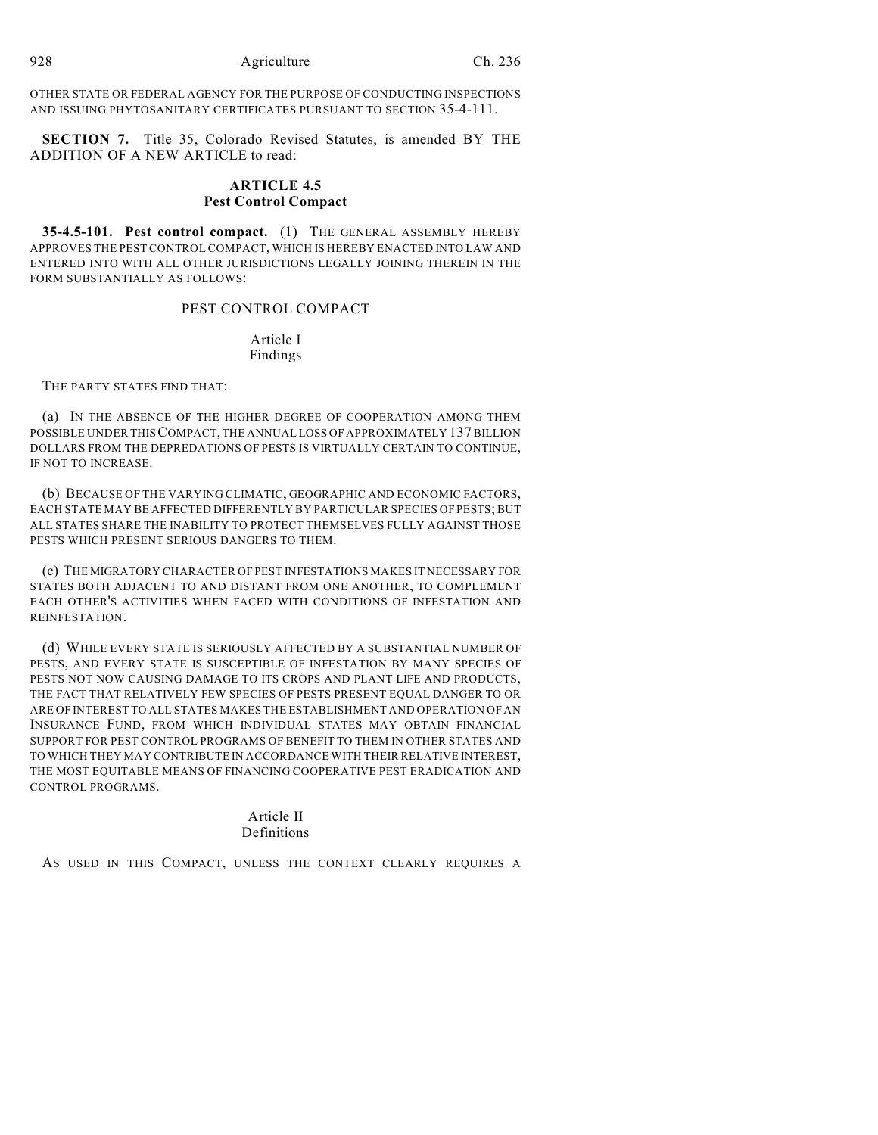OTHER STATE OR FEDERAL AGENCY FOR THE PURPOSE OF CONDUCTING INSPECTIONS AND ISSUING PHYTOSANITARY CERTIFICATES PURSUANT TO SECTION 35-4-111.

**SECTION 7.** Title 35, Colorado Revised Statutes, is amended BY THE ADDITION OF A NEW ARTICLE to read:

# **ARTICLE 4.5 Pest Control Compact**

**35-4.5-101. Pest control compact.** (1) THE GENERAL ASSEMBLY HEREBY APPROVES THE PEST CONTROL COMPACT, WHICH IS HEREBY ENACTED INTO LAW AND ENTERED INTO WITH ALL OTHER JURISDICTIONS LEGALLY JOINING THEREIN IN THE FORM SUBSTANTIALLY AS FOLLOWS:

PEST CONTROL COMPACT

Article I Findings

THE PARTY STATES FIND THAT:

(a) IN THE ABSENCE OF THE HIGHER DEGREE OF COOPERATION AMONG THEM POSSIBLE UNDER THIS COMPACT, THE ANNUAL LOSS OF APPROXIMATELY 137 BILLION DOLLARS FROM THE DEPREDATIONS OF PESTS IS VIRTUALLY CERTAIN TO CONTINUE, IF NOT TO INCREASE.

(b) BECAUSE OF THE VARYING CLIMATIC, GEOGRAPHIC AND ECONOMIC FACTORS, EACH STATE MAY BE AFFECTED DIFFERENTLY BY PARTICULAR SPECIES OF PESTS; BUT ALL STATES SHARE THE INABILITY TO PROTECT THEMSELVES FULLY AGAINST THOSE PESTS WHICH PRESENT SERIOUS DANGERS TO THEM.

(c) THE MIGRATORY CHARACTER OF PEST INFESTATIONS MAKES IT NECESSARY FOR STATES BOTH ADJACENT TO AND DISTANT FROM ONE ANOTHER, TO COMPLEMENT EACH OTHER'S ACTIVITIES WHEN FACED WITH CONDITIONS OF INFESTATION AND REINFESTATION.

(d) WHILE EVERY STATE IS SERIOUSLY AFFECTED BY A SUBSTANTIAL NUMBER OF PESTS, AND EVERY STATE IS SUSCEPTIBLE OF INFESTATION BY MANY SPECIES OF PESTS NOT NOW CAUSING DAMAGE TO ITS CROPS AND PLANT LIFE AND PRODUCTS, THE FACT THAT RELATIVELY FEW SPECIES OF PESTS PRESENT EQUAL DANGER TO OR ARE OF INTEREST TO ALL STATES MAKES THE ESTABLISHMENT AND OPERATION OF AN INSURANCE FUND, FROM WHICH INDIVIDUAL STATES MAY OBTAIN FINANCIAL SUPPORT FOR PEST CONTROL PROGRAMS OF BENEFIT TO THEM IN OTHER STATES AND TO WHICH THEY MAY CONTRIBUTE IN ACCORDANCE WITH THEIR RELATIVE INTEREST, THE MOST EQUITABLE MEANS OF FINANCING COOPERATIVE PEST ERADICATION AND CONTROL PROGRAMS.

> Article II Definitions

AS USED IN THIS COMPACT, UNLESS THE CONTEXT CLEARLY REQUIRES A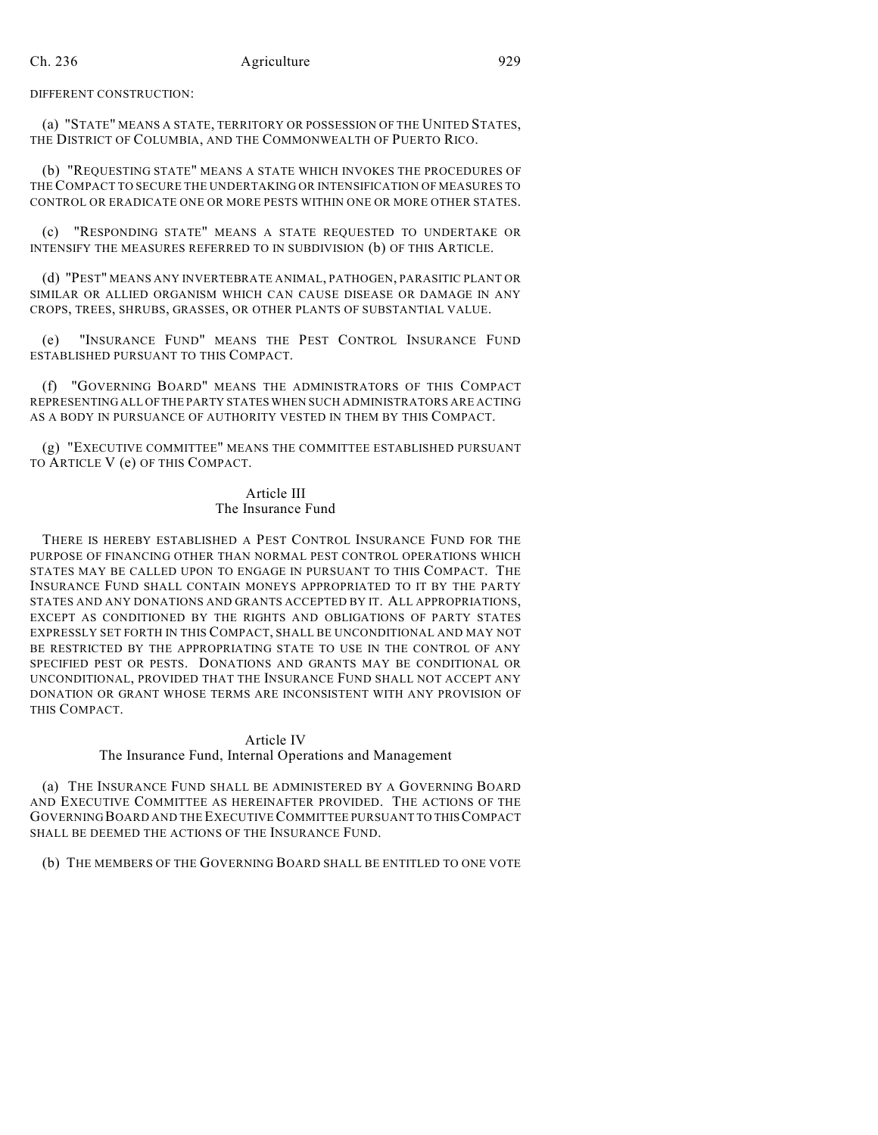DIFFERENT CONSTRUCTION:

(a) "STATE" MEANS A STATE, TERRITORY OR POSSESSION OF THE UNITED STATES, THE DISTRICT OF COLUMBIA, AND THE COMMONWEALTH OF PUERTO RICO.

(b) "REQUESTING STATE" MEANS A STATE WHICH INVOKES THE PROCEDURES OF THE COMPACT TO SECURE THE UNDERTAKING OR INTENSIFICATION OF MEASURES TO CONTROL OR ERADICATE ONE OR MORE PESTS WITHIN ONE OR MORE OTHER STATES.

(c) "RESPONDING STATE" MEANS A STATE REQUESTED TO UNDERTAKE OR INTENSIFY THE MEASURES REFERRED TO IN SUBDIVISION (b) OF THIS ARTICLE.

(d) "PEST" MEANS ANY INVERTEBRATE ANIMAL, PATHOGEN, PARASITIC PLANT OR SIMILAR OR ALLIED ORGANISM WHICH CAN CAUSE DISEASE OR DAMAGE IN ANY CROPS, TREES, SHRUBS, GRASSES, OR OTHER PLANTS OF SUBSTANTIAL VALUE.

(e) "INSURANCE FUND" MEANS THE PEST CONTROL INSURANCE FUND ESTABLISHED PURSUANT TO THIS COMPACT.

(f) "GOVERNING BOARD" MEANS THE ADMINISTRATORS OF THIS COMPACT REPRESENTING ALL OF THE PARTY STATES WHEN SUCH ADMINISTRATORS ARE ACTING AS A BODY IN PURSUANCE OF AUTHORITY VESTED IN THEM BY THIS COMPACT.

(g) "EXECUTIVE COMMITTEE" MEANS THE COMMITTEE ESTABLISHED PURSUANT TO ARTICLE V (e) OF THIS COMPACT.

## Article III The Insurance Fund

THERE IS HEREBY ESTABLISHED A PEST CONTROL INSURANCE FUND FOR THE PURPOSE OF FINANCING OTHER THAN NORMAL PEST CONTROL OPERATIONS WHICH STATES MAY BE CALLED UPON TO ENGAGE IN PURSUANT TO THIS COMPACT. THE INSURANCE FUND SHALL CONTAIN MONEYS APPROPRIATED TO IT BY THE PARTY STATES AND ANY DONATIONS AND GRANTS ACCEPTED BY IT. ALL APPROPRIATIONS, EXCEPT AS CONDITIONED BY THE RIGHTS AND OBLIGATIONS OF PARTY STATES EXPRESSLY SET FORTH IN THIS COMPACT, SHALL BE UNCONDITIONAL AND MAY NOT BE RESTRICTED BY THE APPROPRIATING STATE TO USE IN THE CONTROL OF ANY SPECIFIED PEST OR PESTS. DONATIONS AND GRANTS MAY BE CONDITIONAL OR UNCONDITIONAL, PROVIDED THAT THE INSURANCE FUND SHALL NOT ACCEPT ANY DONATION OR GRANT WHOSE TERMS ARE INCONSISTENT WITH ANY PROVISION OF THIS COMPACT.

# Article IV

### The Insurance Fund, Internal Operations and Management

(a) THE INSURANCE FUND SHALL BE ADMINISTERED BY A GOVERNING BOARD AND EXECUTIVE COMMITTEE AS HEREINAFTER PROVIDED. THE ACTIONS OF THE GOVERNING BOARD AND THE EXECUTIVE COMMITTEE PURSUANT TO THIS COMPACT SHALL BE DEEMED THE ACTIONS OF THE INSURANCE FUND.

(b) THE MEMBERS OF THE GOVERNING BOARD SHALL BE ENTITLED TO ONE VOTE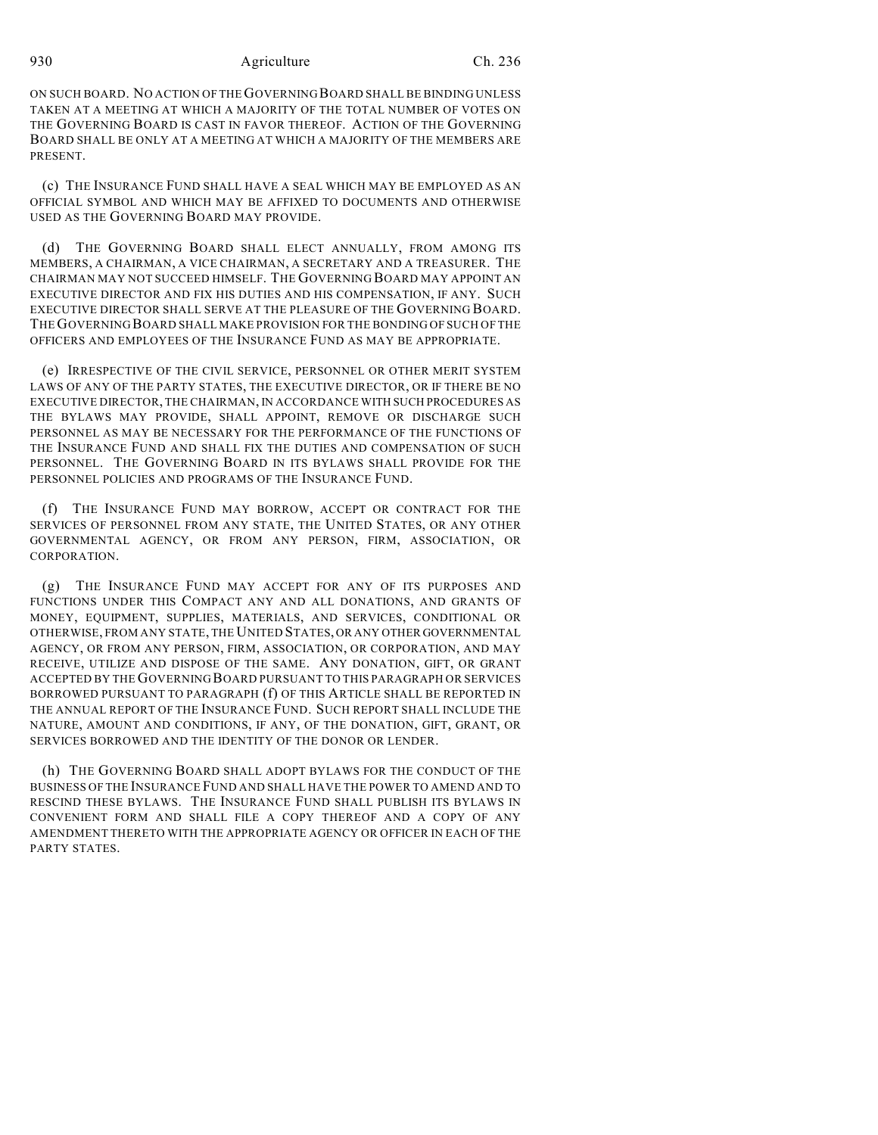ON SUCH BOARD. NO ACTION OF THE GOVERNING BOARD SHALL BE BINDING UNLESS TAKEN AT A MEETING AT WHICH A MAJORITY OF THE TOTAL NUMBER OF VOTES ON THE GOVERNING BOARD IS CAST IN FAVOR THEREOF. ACTION OF THE GOVERNING BOARD SHALL BE ONLY AT A MEETING AT WHICH A MAJORITY OF THE MEMBERS ARE PRESENT.

(c) THE INSURANCE FUND SHALL HAVE A SEAL WHICH MAY BE EMPLOYED AS AN OFFICIAL SYMBOL AND WHICH MAY BE AFFIXED TO DOCUMENTS AND OTHERWISE USED AS THE GOVERNING BOARD MAY PROVIDE.

(d) THE GOVERNING BOARD SHALL ELECT ANNUALLY, FROM AMONG ITS MEMBERS, A CHAIRMAN, A VICE CHAIRMAN, A SECRETARY AND A TREASURER. THE CHAIRMAN MAY NOT SUCCEED HIMSELF. THE GOVERNING BOARD MAY APPOINT AN EXECUTIVE DIRECTOR AND FIX HIS DUTIES AND HIS COMPENSATION, IF ANY. SUCH EXECUTIVE DIRECTOR SHALL SERVE AT THE PLEASURE OF THE GOVERNING BOARD. THE GOVERNING BOARD SHALL MAKE PROVISION FOR THE BONDING OF SUCH OF THE OFFICERS AND EMPLOYEES OF THE INSURANCE FUND AS MAY BE APPROPRIATE.

(e) IRRESPECTIVE OF THE CIVIL SERVICE, PERSONNEL OR OTHER MERIT SYSTEM LAWS OF ANY OF THE PARTY STATES, THE EXECUTIVE DIRECTOR, OR IF THERE BE NO EXECUTIVE DIRECTOR, THE CHAIRMAN, IN ACCORDANCE WITH SUCH PROCEDURES AS THE BYLAWS MAY PROVIDE, SHALL APPOINT, REMOVE OR DISCHARGE SUCH PERSONNEL AS MAY BE NECESSARY FOR THE PERFORMANCE OF THE FUNCTIONS OF THE INSURANCE FUND AND SHALL FIX THE DUTIES AND COMPENSATION OF SUCH PERSONNEL. THE GOVERNING BOARD IN ITS BYLAWS SHALL PROVIDE FOR THE PERSONNEL POLICIES AND PROGRAMS OF THE INSURANCE FUND.

(f) THE INSURANCE FUND MAY BORROW, ACCEPT OR CONTRACT FOR THE SERVICES OF PERSONNEL FROM ANY STATE, THE UNITED STATES, OR ANY OTHER GOVERNMENTAL AGENCY, OR FROM ANY PERSON, FIRM, ASSOCIATION, OR CORPORATION.

(g) THE INSURANCE FUND MAY ACCEPT FOR ANY OF ITS PURPOSES AND FUNCTIONS UNDER THIS COMPACT ANY AND ALL DONATIONS, AND GRANTS OF MONEY, EQUIPMENT, SUPPLIES, MATERIALS, AND SERVICES, CONDITIONAL OR OTHERWISE, FROM ANY STATE, THE UNITED STATES, OR ANY OTHER GOVERNMENTAL AGENCY, OR FROM ANY PERSON, FIRM, ASSOCIATION, OR CORPORATION, AND MAY RECEIVE, UTILIZE AND DISPOSE OF THE SAME. ANY DONATION, GIFT, OR GRANT ACCEPTED BY THE GOVERNING BOARD PURSUANT TO THIS PARAGRAPH OR SERVICES BORROWED PURSUANT TO PARAGRAPH (f) OF THIS ARTICLE SHALL BE REPORTED IN THE ANNUAL REPORT OF THE INSURANCE FUND. SUCH REPORT SHALL INCLUDE THE NATURE, AMOUNT AND CONDITIONS, IF ANY, OF THE DONATION, GIFT, GRANT, OR SERVICES BORROWED AND THE IDENTITY OF THE DONOR OR LENDER.

(h) THE GOVERNING BOARD SHALL ADOPT BYLAWS FOR THE CONDUCT OF THE BUSINESS OF THE INSURANCE FUND AND SHALL HAVE THE POWER TO AMEND AND TO RESCIND THESE BYLAWS. THE INSURANCE FUND SHALL PUBLISH ITS BYLAWS IN CONVENIENT FORM AND SHALL FILE A COPY THEREOF AND A COPY OF ANY AMENDMENT THERETO WITH THE APPROPRIATE AGENCY OR OFFICER IN EACH OF THE PARTY STATES.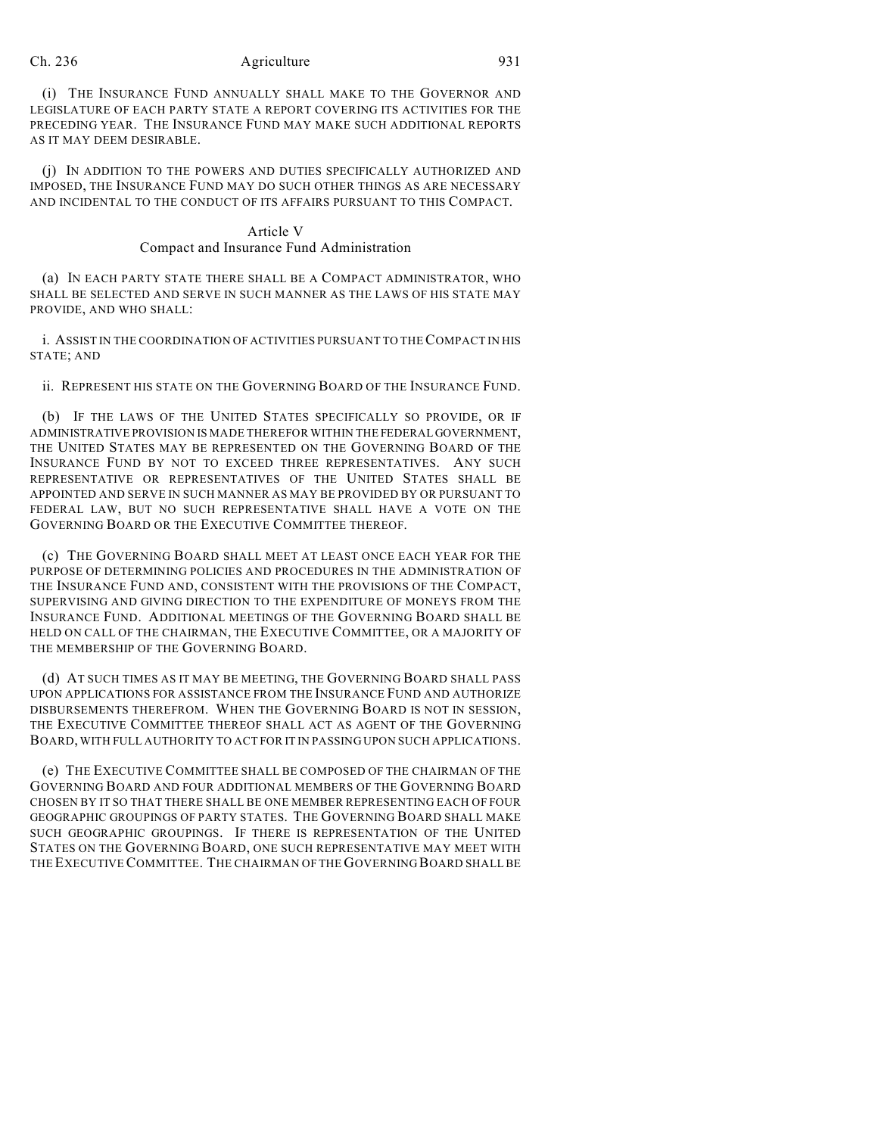(i) THE INSURANCE FUND ANNUALLY SHALL MAKE TO THE GOVERNOR AND LEGISLATURE OF EACH PARTY STATE A REPORT COVERING ITS ACTIVITIES FOR THE PRECEDING YEAR. THE INSURANCE FUND MAY MAKE SUCH ADDITIONAL REPORTS AS IT MAY DEEM DESIRABLE.

(j) IN ADDITION TO THE POWERS AND DUTIES SPECIFICALLY AUTHORIZED AND IMPOSED, THE INSURANCE FUND MAY DO SUCH OTHER THINGS AS ARE NECESSARY AND INCIDENTAL TO THE CONDUCT OF ITS AFFAIRS PURSUANT TO THIS COMPACT.

### Article V Compact and Insurance Fund Administration

(a) IN EACH PARTY STATE THERE SHALL BE A COMPACT ADMINISTRATOR, WHO SHALL BE SELECTED AND SERVE IN SUCH MANNER AS THE LAWS OF HIS STATE MAY PROVIDE, AND WHO SHALL:

i. ASSIST IN THE COORDINATION OF ACTIVITIES PURSUANT TO THE COMPACT IN HIS STATE; AND

ii. REPRESENT HIS STATE ON THE GOVERNING BOARD OF THE INSURANCE FUND.

(b) IF THE LAWS OF THE UNITED STATES SPECIFICALLY SO PROVIDE, OR IF ADMINISTRATIVE PROVISION IS MADE THEREFOR WITHIN THE FEDERAL GOVERNMENT, THE UNITED STATES MAY BE REPRESENTED ON THE GOVERNING BOARD OF THE INSURANCE FUND BY NOT TO EXCEED THREE REPRESENTATIVES. ANY SUCH REPRESENTATIVE OR REPRESENTATIVES OF THE UNITED STATES SHALL BE APPOINTED AND SERVE IN SUCH MANNER AS MAY BE PROVIDED BY OR PURSUANT TO FEDERAL LAW, BUT NO SUCH REPRESENTATIVE SHALL HAVE A VOTE ON THE GOVERNING BOARD OR THE EXECUTIVE COMMITTEE THEREOF.

(c) THE GOVERNING BOARD SHALL MEET AT LEAST ONCE EACH YEAR FOR THE PURPOSE OF DETERMINING POLICIES AND PROCEDURES IN THE ADMINISTRATION OF THE INSURANCE FUND AND, CONSISTENT WITH THE PROVISIONS OF THE COMPACT, SUPERVISING AND GIVING DIRECTION TO THE EXPENDITURE OF MONEYS FROM THE INSURANCE FUND. ADDITIONAL MEETINGS OF THE GOVERNING BOARD SHALL BE HELD ON CALL OF THE CHAIRMAN, THE EXECUTIVE COMMITTEE, OR A MAJORITY OF THE MEMBERSHIP OF THE GOVERNING BOARD.

(d) AT SUCH TIMES AS IT MAY BE MEETING, THE GOVERNING BOARD SHALL PASS UPON APPLICATIONS FOR ASSISTANCE FROM THE INSURANCE FUND AND AUTHORIZE DISBURSEMENTS THEREFROM. WHEN THE GOVERNING BOARD IS NOT IN SESSION, THE EXECUTIVE COMMITTEE THEREOF SHALL ACT AS AGENT OF THE GOVERNING BOARD, WITH FULL AUTHORITY TO ACT FOR IT IN PASSING UPON SUCH APPLICATIONS.

(e) THE EXECUTIVE COMMITTEE SHALL BE COMPOSED OF THE CHAIRMAN OF THE GOVERNING BOARD AND FOUR ADDITIONAL MEMBERS OF THE GOVERNING BOARD CHOSEN BY IT SO THAT THERE SHALL BE ONE MEMBER REPRESENTING EACH OF FOUR GEOGRAPHIC GROUPINGS OF PARTY STATES. THE GOVERNING BOARD SHALL MAKE SUCH GEOGRAPHIC GROUPINGS. IF THERE IS REPRESENTATION OF THE UNITED STATES ON THE GOVERNING BOARD, ONE SUCH REPRESENTATIVE MAY MEET WITH THE EXECUTIVE COMMITTEE. THE CHAIRMAN OF THE GOVERNING BOARD SHALL BE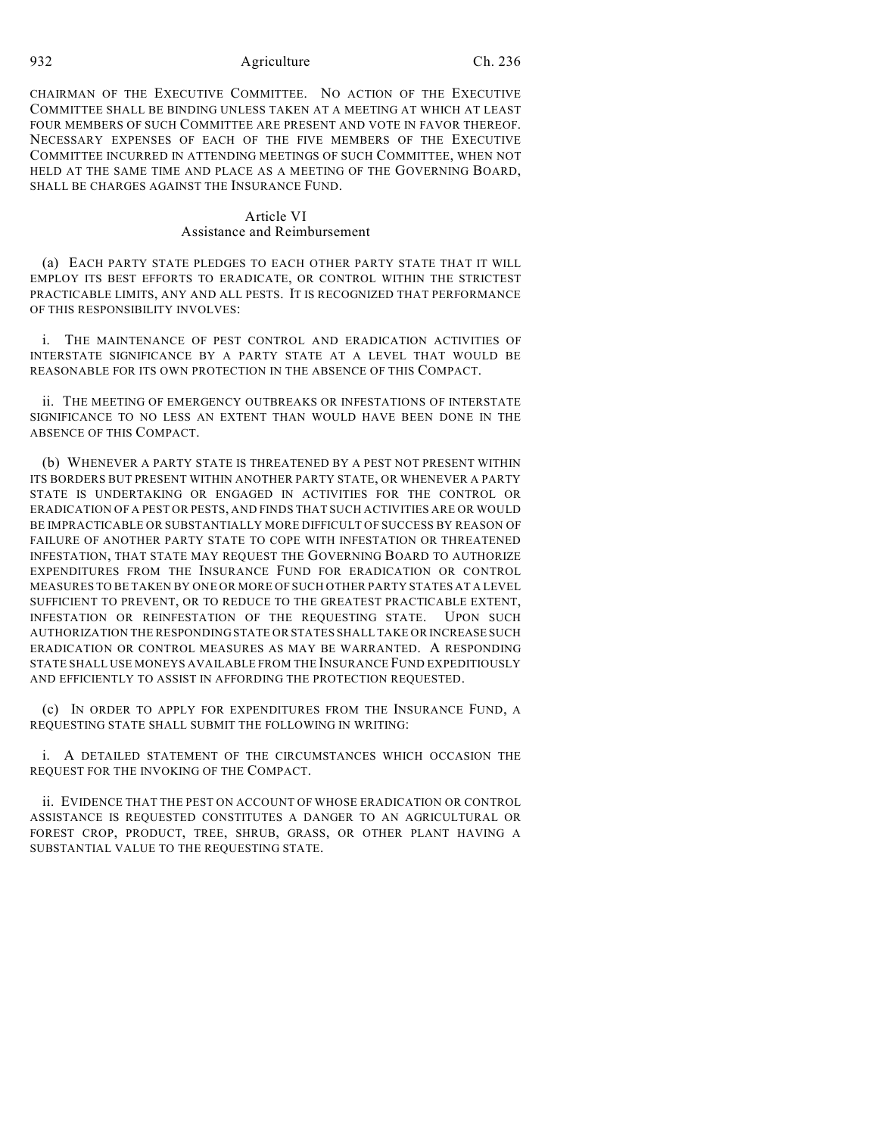CHAIRMAN OF THE EXECUTIVE COMMITTEE. NO ACTION OF THE EXECUTIVE COMMITTEE SHALL BE BINDING UNLESS TAKEN AT A MEETING AT WHICH AT LEAST FOUR MEMBERS OF SUCH COMMITTEE ARE PRESENT AND VOTE IN FAVOR THEREOF. NECESSARY EXPENSES OF EACH OF THE FIVE MEMBERS OF THE EXECUTIVE COMMITTEE INCURRED IN ATTENDING MEETINGS OF SUCH COMMITTEE, WHEN NOT HELD AT THE SAME TIME AND PLACE AS A MEETING OF THE GOVERNING BOARD, SHALL BE CHARGES AGAINST THE INSURANCE FUND.

## Article VI Assistance and Reimbursement

(a) EACH PARTY STATE PLEDGES TO EACH OTHER PARTY STATE THAT IT WILL EMPLOY ITS BEST EFFORTS TO ERADICATE, OR CONTROL WITHIN THE STRICTEST PRACTICABLE LIMITS, ANY AND ALL PESTS. IT IS RECOGNIZED THAT PERFORMANCE OF THIS RESPONSIBILITY INVOLVES:

i. THE MAINTENANCE OF PEST CONTROL AND ERADICATION ACTIVITIES OF INTERSTATE SIGNIFICANCE BY A PARTY STATE AT A LEVEL THAT WOULD BE REASONABLE FOR ITS OWN PROTECTION IN THE ABSENCE OF THIS COMPACT.

ii. THE MEETING OF EMERGENCY OUTBREAKS OR INFESTATIONS OF INTERSTATE SIGNIFICANCE TO NO LESS AN EXTENT THAN WOULD HAVE BEEN DONE IN THE ABSENCE OF THIS COMPACT.

(b) WHENEVER A PARTY STATE IS THREATENED BY A PEST NOT PRESENT WITHIN ITS BORDERS BUT PRESENT WITHIN ANOTHER PARTY STATE, OR WHENEVER A PARTY STATE IS UNDERTAKING OR ENGAGED IN ACTIVITIES FOR THE CONTROL OR ERADICATION OF A PEST OR PESTS, AND FINDS THAT SUCH ACTIVITIES ARE OR WOULD BE IMPRACTICABLE OR SUBSTANTIALLY MORE DIFFICULT OF SUCCESS BY REASON OF FAILURE OF ANOTHER PARTY STATE TO COPE WITH INFESTATION OR THREATENED INFESTATION, THAT STATE MAY REQUEST THE GOVERNING BOARD TO AUTHORIZE EXPENDITURES FROM THE INSURANCE FUND FOR ERADICATION OR CONTROL MEASURES TO BE TAKEN BY ONE OR MORE OF SUCH OTHER PARTY STATES AT A LEVEL SUFFICIENT TO PREVENT, OR TO REDUCE TO THE GREATEST PRACTICABLE EXTENT, INFESTATION OR REINFESTATION OF THE REQUESTING STATE. UPON SUCH AUTHORIZATION THE RESPONDING STATE OR STATES SHALL TAKE OR INCREASE SUCH ERADICATION OR CONTROL MEASURES AS MAY BE WARRANTED. A RESPONDING STATE SHALL USE MONEYS AVAILABLE FROM THE INSURANCE FUND EXPEDITIOUSLY AND EFFICIENTLY TO ASSIST IN AFFORDING THE PROTECTION REQUESTED.

(c) IN ORDER TO APPLY FOR EXPENDITURES FROM THE INSURANCE FUND, A REQUESTING STATE SHALL SUBMIT THE FOLLOWING IN WRITING:

i. A DETAILED STATEMENT OF THE CIRCUMSTANCES WHICH OCCASION THE REQUEST FOR THE INVOKING OF THE COMPACT.

ii. EVIDENCE THAT THE PEST ON ACCOUNT OF WHOSE ERADICATION OR CONTROL ASSISTANCE IS REQUESTED CONSTITUTES A DANGER TO AN AGRICULTURAL OR FOREST CROP, PRODUCT, TREE, SHRUB, GRASS, OR OTHER PLANT HAVING A SUBSTANTIAL VALUE TO THE REQUESTING STATE.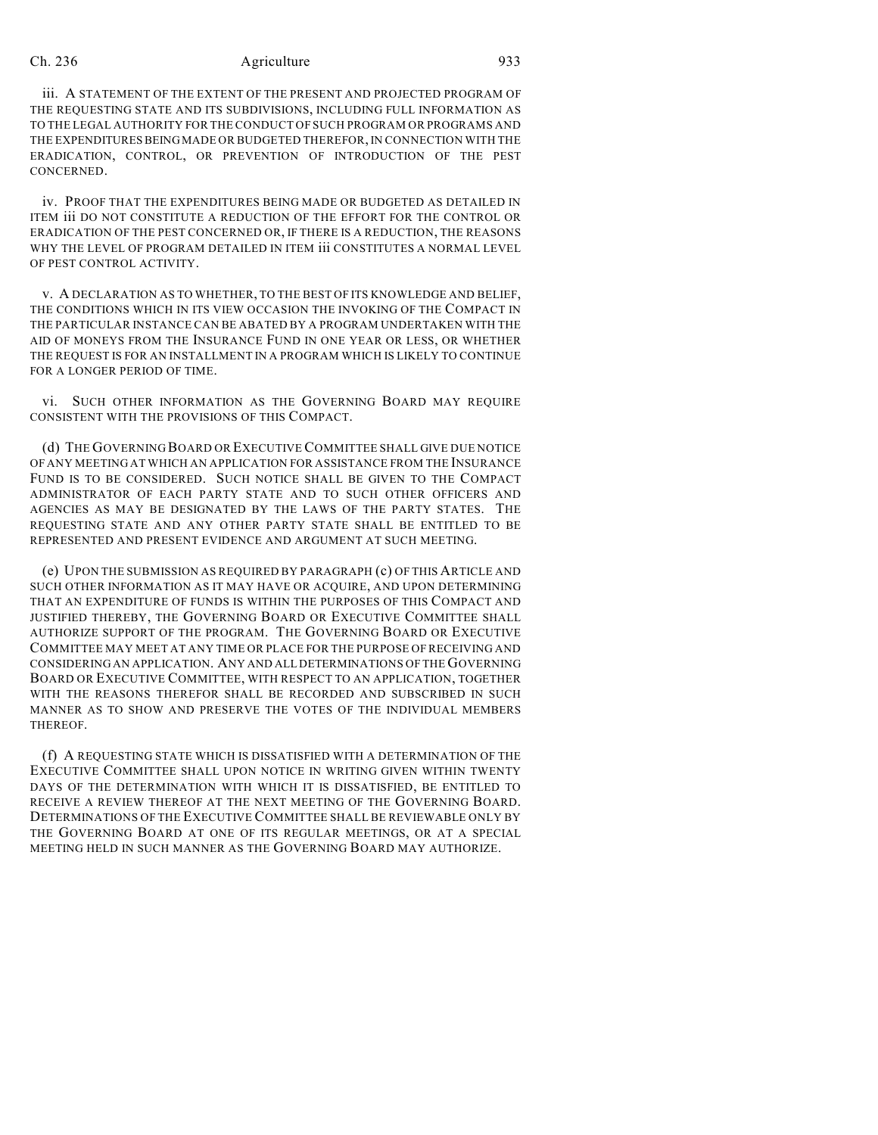iii. A STATEMENT OF THE EXTENT OF THE PRESENT AND PROJECTED PROGRAM OF THE REQUESTING STATE AND ITS SUBDIVISIONS, INCLUDING FULL INFORMATION AS TO THE LEGAL AUTHORITY FOR THE CONDUCT OF SUCH PROGRAM OR PROGRAMS AND THE EXPENDITURES BEING MADE OR BUDGETED THEREFOR, IN CONNECTION WITH THE ERADICATION, CONTROL, OR PREVENTION OF INTRODUCTION OF THE PEST CONCERNED.

iv. PROOF THAT THE EXPENDITURES BEING MADE OR BUDGETED AS DETAILED IN ITEM iii DO NOT CONSTITUTE A REDUCTION OF THE EFFORT FOR THE CONTROL OR ERADICATION OF THE PEST CONCERNED OR, IF THERE IS A REDUCTION, THE REASONS WHY THE LEVEL OF PROGRAM DETAILED IN ITEM iii CONSTITUTES A NORMAL LEVEL OF PEST CONTROL ACTIVITY.

v. A DECLARATION AS TO WHETHER, TO THE BEST OF ITS KNOWLEDGE AND BELIEF, THE CONDITIONS WHICH IN ITS VIEW OCCASION THE INVOKING OF THE COMPACT IN THE PARTICULAR INSTANCE CAN BE ABATED BY A PROGRAM UNDERTAKEN WITH THE AID OF MONEYS FROM THE INSURANCE FUND IN ONE YEAR OR LESS, OR WHETHER THE REQUEST IS FOR AN INSTALLMENT IN A PROGRAM WHICH IS LIKELY TO CONTINUE FOR A LONGER PERIOD OF TIME.

vi. SUCH OTHER INFORMATION AS THE GOVERNING BOARD MAY REQUIRE CONSISTENT WITH THE PROVISIONS OF THIS COMPACT.

(d) THE GOVERNING BOARD OR EXECUTIVE COMMITTEE SHALL GIVE DUE NOTICE OF ANY MEETING AT WHICH AN APPLICATION FOR ASSISTANCE FROM THE INSURANCE FUND IS TO BE CONSIDERED. SUCH NOTICE SHALL BE GIVEN TO THE COMPACT ADMINISTRATOR OF EACH PARTY STATE AND TO SUCH OTHER OFFICERS AND AGENCIES AS MAY BE DESIGNATED BY THE LAWS OF THE PARTY STATES. THE REQUESTING STATE AND ANY OTHER PARTY STATE SHALL BE ENTITLED TO BE REPRESENTED AND PRESENT EVIDENCE AND ARGUMENT AT SUCH MEETING.

(e) UPON THE SUBMISSION AS REQUIRED BY PARAGRAPH (c) OF THIS ARTICLE AND SUCH OTHER INFORMATION AS IT MAY HAVE OR ACQUIRE, AND UPON DETERMINING THAT AN EXPENDITURE OF FUNDS IS WITHIN THE PURPOSES OF THIS COMPACT AND JUSTIFIED THEREBY, THE GOVERNING BOARD OR EXECUTIVE COMMITTEE SHALL AUTHORIZE SUPPORT OF THE PROGRAM. THE GOVERNING BOARD OR EXECUTIVE COMMITTEE MAY MEET AT ANY TIME OR PLACE FOR THE PURPOSE OFRECEIVING AND CONSIDERING AN APPLICATION. ANY AND ALL DETERMINATIONS OF THE GOVERNING BOARD OR EXECUTIVE COMMITTEE, WITH RESPECT TO AN APPLICATION, TOGETHER WITH THE REASONS THEREFOR SHALL BE RECORDED AND SUBSCRIBED IN SUCH MANNER AS TO SHOW AND PRESERVE THE VOTES OF THE INDIVIDUAL MEMBERS THEREOF.

(f) A REQUESTING STATE WHICH IS DISSATISFIED WITH A DETERMINATION OF THE EXECUTIVE COMMITTEE SHALL UPON NOTICE IN WRITING GIVEN WITHIN TWENTY DAYS OF THE DETERMINATION WITH WHICH IT IS DISSATISFIED, BE ENTITLED TO RECEIVE A REVIEW THEREOF AT THE NEXT MEETING OF THE GOVERNING BOARD. DETERMINATIONS OF THE EXECUTIVE COMMITTEE SHALL BE REVIEWABLE ONLY BY THE GOVERNING BOARD AT ONE OF ITS REGULAR MEETINGS, OR AT A SPECIAL MEETING HELD IN SUCH MANNER AS THE GOVERNING BOARD MAY AUTHORIZE.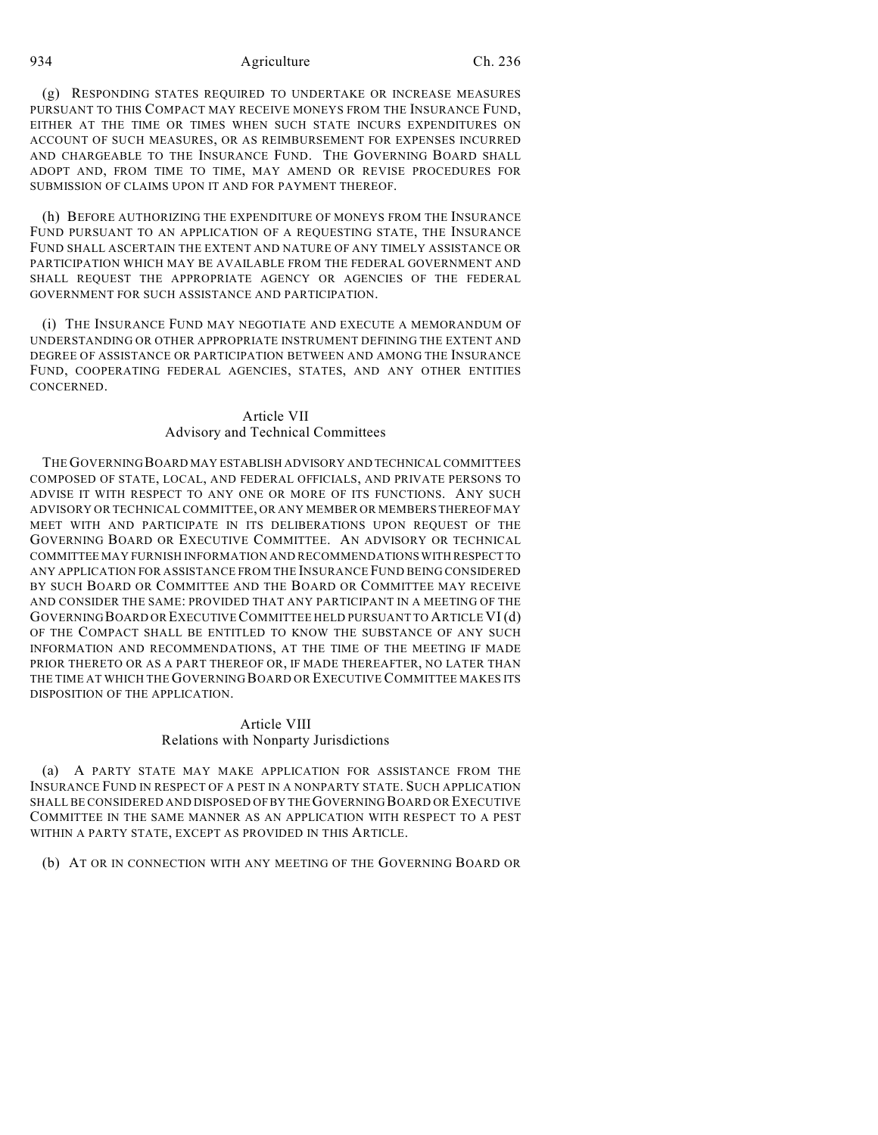(g) RESPONDING STATES REQUIRED TO UNDERTAKE OR INCREASE MEASURES PURSUANT TO THIS COMPACT MAY RECEIVE MONEYS FROM THE INSURANCE FUND, EITHER AT THE TIME OR TIMES WHEN SUCH STATE INCURS EXPENDITURES ON ACCOUNT OF SUCH MEASURES, OR AS REIMBURSEMENT FOR EXPENSES INCURRED AND CHARGEABLE TO THE INSURANCE FUND. THE GOVERNING BOARD SHALL ADOPT AND, FROM TIME TO TIME, MAY AMEND OR REVISE PROCEDURES FOR SUBMISSION OF CLAIMS UPON IT AND FOR PAYMENT THEREOF.

(h) BEFORE AUTHORIZING THE EXPENDITURE OF MONEYS FROM THE INSURANCE FUND PURSUANT TO AN APPLICATION OF A REQUESTING STATE, THE INSURANCE FUND SHALL ASCERTAIN THE EXTENT AND NATURE OF ANY TIMELY ASSISTANCE OR PARTICIPATION WHICH MAY BE AVAILABLE FROM THE FEDERAL GOVERNMENT AND SHALL REQUEST THE APPROPRIATE AGENCY OR AGENCIES OF THE FEDERAL GOVERNMENT FOR SUCH ASSISTANCE AND PARTICIPATION.

(i) THE INSURANCE FUND MAY NEGOTIATE AND EXECUTE A MEMORANDUM OF UNDERSTANDING OR OTHER APPROPRIATE INSTRUMENT DEFINING THE EXTENT AND DEGREE OF ASSISTANCE OR PARTICIPATION BETWEEN AND AMONG THE INSURANCE FUND, COOPERATING FEDERAL AGENCIES, STATES, AND ANY OTHER ENTITIES **CONCERNED.** 

## Article VII Advisory and Technical Committees

THE GOVERNING BOARD MAY ESTABLISH ADVISORY AND TECHNICAL COMMITTEES COMPOSED OF STATE, LOCAL, AND FEDERAL OFFICIALS, AND PRIVATE PERSONS TO ADVISE IT WITH RESPECT TO ANY ONE OR MORE OF ITS FUNCTIONS. ANY SUCH ADVISORY OR TECHNICAL COMMITTEE, OR ANY MEMBER OR MEMBERS THEREOF MAY MEET WITH AND PARTICIPATE IN ITS DELIBERATIONS UPON REQUEST OF THE GOVERNING BOARD OR EXECUTIVE COMMITTEE. AN ADVISORY OR TECHNICAL COMMITTEE MAY FURNISH INFORMATION AND RECOMMENDATIONS WITH RESPECT TO ANY APPLICATION FOR ASSISTANCE FROM THE INSURANCE FUND BEING CONSIDERED BY SUCH BOARD OR COMMITTEE AND THE BOARD OR COMMITTEE MAY RECEIVE AND CONSIDER THE SAME: PROVIDED THAT ANY PARTICIPANT IN A MEETING OF THE GOVERNING BOARD OR EXECUTIVE COMMITTEE HELD PURSUANT TO ARTICLE VI (d) OF THE COMPACT SHALL BE ENTITLED TO KNOW THE SUBSTANCE OF ANY SUCH INFORMATION AND RECOMMENDATIONS, AT THE TIME OF THE MEETING IF MADE PRIOR THERETO OR AS A PART THEREOF OR, IF MADE THEREAFTER, NO LATER THAN THE TIME AT WHICH THE GOVERNING BOARD OR EXECUTIVE COMMITTEE MAKES ITS DISPOSITION OF THE APPLICATION.

# Article VIII

### Relations with Nonparty Jurisdictions

(a) A PARTY STATE MAY MAKE APPLICATION FOR ASSISTANCE FROM THE INSURANCE FUND IN RESPECT OF A PEST IN A NONPARTY STATE. SUCH APPLICATION SHALL BE CONSIDERED AND DISPOSED OF BY THE GOVERNING BOARD OR EXECUTIVE COMMITTEE IN THE SAME MANNER AS AN APPLICATION WITH RESPECT TO A PEST WITHIN A PARTY STATE, EXCEPT AS PROVIDED IN THIS ARTICLE.

(b) AT OR IN CONNECTION WITH ANY MEETING OF THE GOVERNING BOARD OR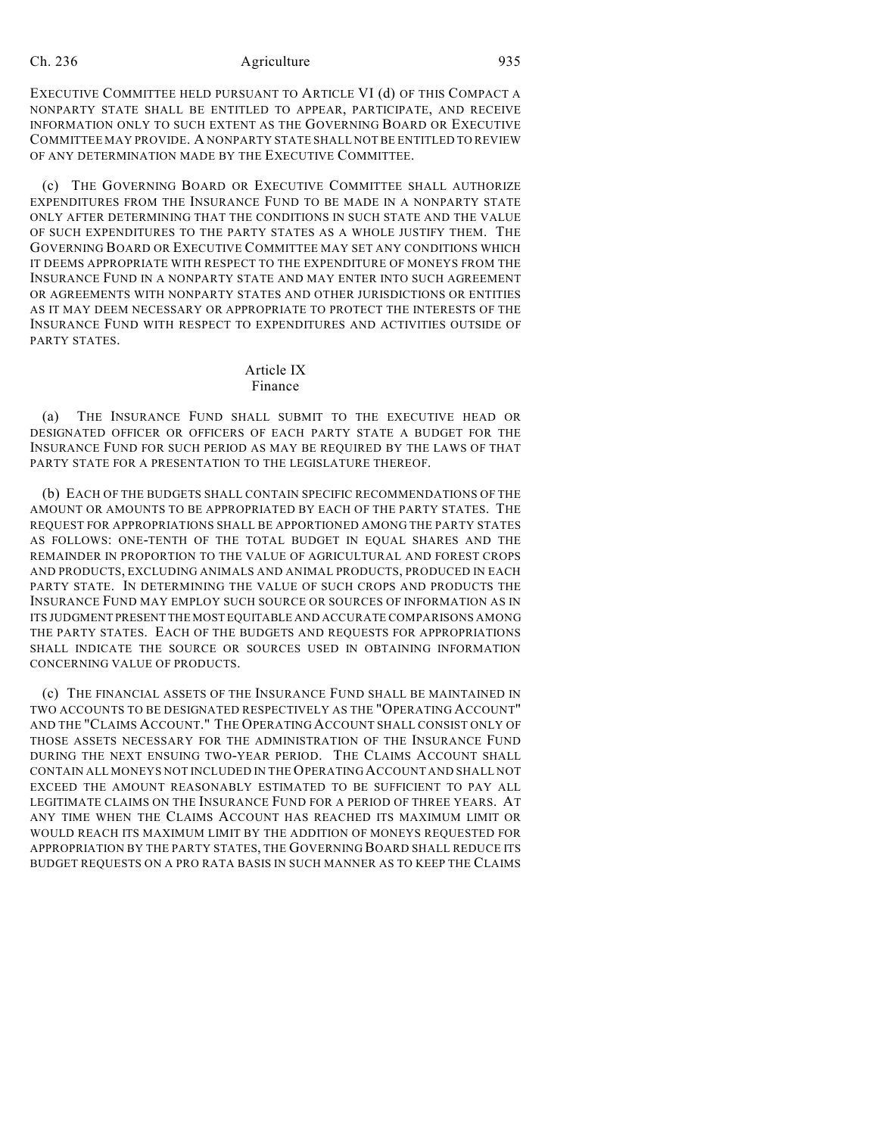EXECUTIVE COMMITTEE HELD PURSUANT TO ARTICLE VI (d) OF THIS COMPACT A NONPARTY STATE SHALL BE ENTITLED TO APPEAR, PARTICIPATE, AND RECEIVE INFORMATION ONLY TO SUCH EXTENT AS THE GOVERNING BOARD OR EXECUTIVE COMMITTEE MAY PROVIDE. A NONPARTY STATE SHALL NOT BE ENTITLED TO REVIEW OF ANY DETERMINATION MADE BY THE EXECUTIVE COMMITTEE.

(c) THE GOVERNING BOARD OR EXECUTIVE COMMITTEE SHALL AUTHORIZE EXPENDITURES FROM THE INSURANCE FUND TO BE MADE IN A NONPARTY STATE ONLY AFTER DETERMINING THAT THE CONDITIONS IN SUCH STATE AND THE VALUE OF SUCH EXPENDITURES TO THE PARTY STATES AS A WHOLE JUSTIFY THEM. THE GOVERNING BOARD OR EXECUTIVE COMMITTEE MAY SET ANY CONDITIONS WHICH IT DEEMS APPROPRIATE WITH RESPECT TO THE EXPENDITURE OF MONEYS FROM THE INSURANCE FUND IN A NONPARTY STATE AND MAY ENTER INTO SUCH AGREEMENT OR AGREEMENTS WITH NONPARTY STATES AND OTHER JURISDICTIONS OR ENTITIES AS IT MAY DEEM NECESSARY OR APPROPRIATE TO PROTECT THE INTERESTS OF THE INSURANCE FUND WITH RESPECT TO EXPENDITURES AND ACTIVITIES OUTSIDE OF PARTY STATES.

### Article IX Finance

(a) THE INSURANCE FUND SHALL SUBMIT TO THE EXECUTIVE HEAD OR DESIGNATED OFFICER OR OFFICERS OF EACH PARTY STATE A BUDGET FOR THE INSURANCE FUND FOR SUCH PERIOD AS MAY BE REQUIRED BY THE LAWS OF THAT PARTY STATE FOR A PRESENTATION TO THE LEGISLATURE THEREOF.

(b) EACH OF THE BUDGETS SHALL CONTAIN SPECIFIC RECOMMENDATIONS OF THE AMOUNT OR AMOUNTS TO BE APPROPRIATED BY EACH OF THE PARTY STATES. THE REQUEST FOR APPROPRIATIONS SHALL BE APPORTIONED AMONG THE PARTY STATES AS FOLLOWS: ONE-TENTH OF THE TOTAL BUDGET IN EQUAL SHARES AND THE REMAINDER IN PROPORTION TO THE VALUE OF AGRICULTURAL AND FOREST CROPS AND PRODUCTS, EXCLUDING ANIMALS AND ANIMAL PRODUCTS, PRODUCED IN EACH PARTY STATE. IN DETERMINING THE VALUE OF SUCH CROPS AND PRODUCTS THE INSURANCE FUND MAY EMPLOY SUCH SOURCE OR SOURCES OF INFORMATION AS IN ITS JUDGMENT PRESENT THE MOST EQUITABLE AND ACCURATE COMPARISONS AMONG THE PARTY STATES. EACH OF THE BUDGETS AND REQUESTS FOR APPROPRIATIONS SHALL INDICATE THE SOURCE OR SOURCES USED IN OBTAINING INFORMATION CONCERNING VALUE OF PRODUCTS.

(c) THE FINANCIAL ASSETS OF THE INSURANCE FUND SHALL BE MAINTAINED IN TWO ACCOUNTS TO BE DESIGNATED RESPECTIVELY AS THE "OPERATING ACCOUNT" AND THE "CLAIMS ACCOUNT." THE OPERATING ACCOUNT SHALL CONSIST ONLY OF THOSE ASSETS NECESSARY FOR THE ADMINISTRATION OF THE INSURANCE FUND DURING THE NEXT ENSUING TWO-YEAR PERIOD. THE CLAIMS ACCOUNT SHALL CONTAIN ALL MONEYS NOT INCLUDED IN THE OPERATING ACCOUNT AND SHALL NOT EXCEED THE AMOUNT REASONABLY ESTIMATED TO BE SUFFICIENT TO PAY ALL LEGITIMATE CLAIMS ON THE INSURANCE FUND FOR A PERIOD OF THREE YEARS. AT ANY TIME WHEN THE CLAIMS ACCOUNT HAS REACHED ITS MAXIMUM LIMIT OR WOULD REACH ITS MAXIMUM LIMIT BY THE ADDITION OF MONEYS REQUESTED FOR APPROPRIATION BY THE PARTY STATES, THE GOVERNING BOARD SHALL REDUCE ITS BUDGET REQUESTS ON A PRO RATA BASIS IN SUCH MANNER AS TO KEEP THE CLAIMS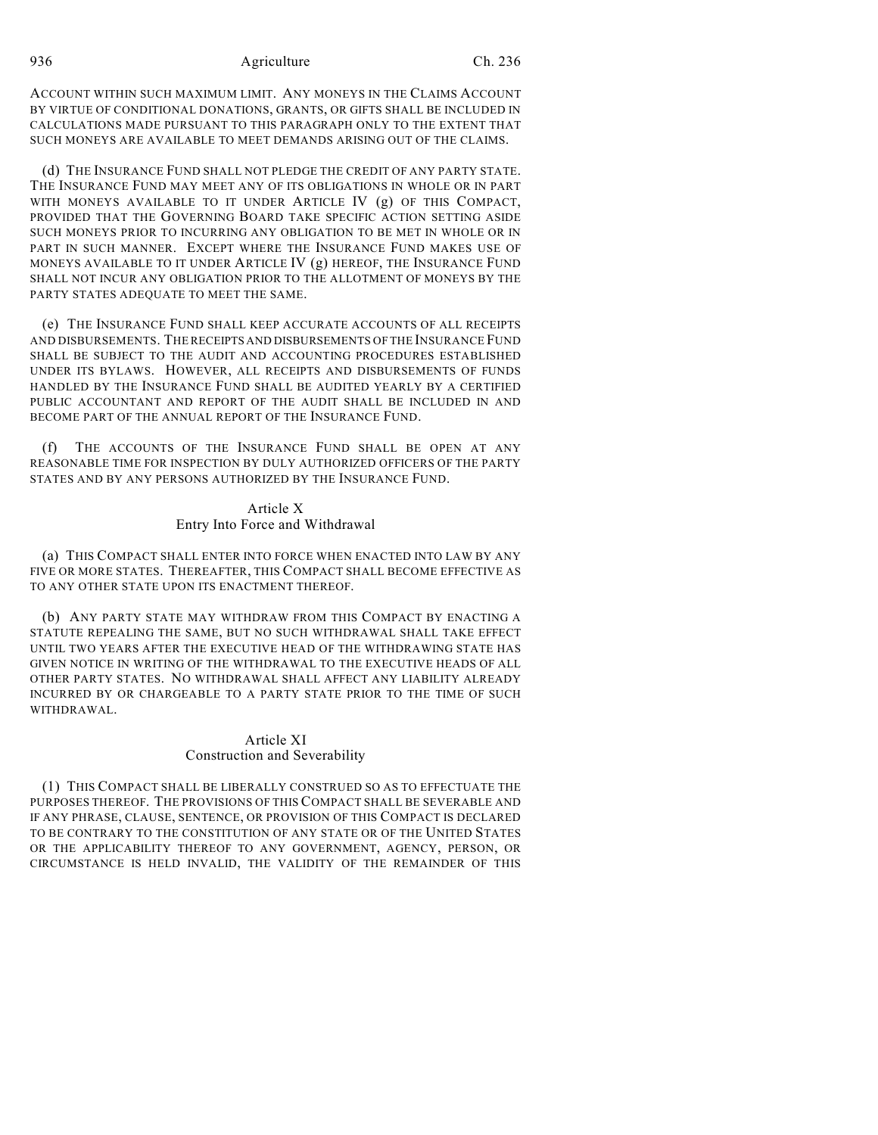ACCOUNT WITHIN SUCH MAXIMUM LIMIT. ANY MONEYS IN THE CLAIMS ACCOUNT BY VIRTUE OF CONDITIONAL DONATIONS, GRANTS, OR GIFTS SHALL BE INCLUDED IN CALCULATIONS MADE PURSUANT TO THIS PARAGRAPH ONLY TO THE EXTENT THAT SUCH MONEYS ARE AVAILABLE TO MEET DEMANDS ARISING OUT OF THE CLAIMS.

(d) THE INSURANCE FUND SHALL NOT PLEDGE THE CREDIT OF ANY PARTY STATE. THE INSURANCE FUND MAY MEET ANY OF ITS OBLIGATIONS IN WHOLE OR IN PART WITH MONEYS AVAILABLE TO IT UNDER ARTICLE IV (g) OF THIS COMPACT, PROVIDED THAT THE GOVERNING BOARD TAKE SPECIFIC ACTION SETTING ASIDE SUCH MONEYS PRIOR TO INCURRING ANY OBLIGATION TO BE MET IN WHOLE OR IN PART IN SUCH MANNER. EXCEPT WHERE THE INSURANCE FUND MAKES USE OF MONEYS AVAILABLE TO IT UNDER ARTICLE IV (g) HEREOF, THE INSURANCE FUND SHALL NOT INCUR ANY OBLIGATION PRIOR TO THE ALLOTMENT OF MONEYS BY THE PARTY STATES ADEQUATE TO MEET THE SAME.

(e) THE INSURANCE FUND SHALL KEEP ACCURATE ACCOUNTS OF ALL RECEIPTS AND DISBURSEMENTS. THE RECEIPTS AND DISBURSEMENTS OF THE INSURANCE FUND SHALL BE SUBJECT TO THE AUDIT AND ACCOUNTING PROCEDURES ESTABLISHED UNDER ITS BYLAWS. HOWEVER, ALL RECEIPTS AND DISBURSEMENTS OF FUNDS HANDLED BY THE INSURANCE FUND SHALL BE AUDITED YEARLY BY A CERTIFIED PUBLIC ACCOUNTANT AND REPORT OF THE AUDIT SHALL BE INCLUDED IN AND BECOME PART OF THE ANNUAL REPORT OF THE INSURANCE FUND.

(f) THE ACCOUNTS OF THE INSURANCE FUND SHALL BE OPEN AT ANY REASONABLE TIME FOR INSPECTION BY DULY AUTHORIZED OFFICERS OF THE PARTY STATES AND BY ANY PERSONS AUTHORIZED BY THE INSURANCE FUND.

# Article X Entry Into Force and Withdrawal

(a) THIS COMPACT SHALL ENTER INTO FORCE WHEN ENACTED INTO LAW BY ANY FIVE OR MORE STATES. THEREAFTER, THIS COMPACT SHALL BECOME EFFECTIVE AS TO ANY OTHER STATE UPON ITS ENACTMENT THEREOF.

(b) ANY PARTY STATE MAY WITHDRAW FROM THIS COMPACT BY ENACTING A STATUTE REPEALING THE SAME, BUT NO SUCH WITHDRAWAL SHALL TAKE EFFECT UNTIL TWO YEARS AFTER THE EXECUTIVE HEAD OF THE WITHDRAWING STATE HAS GIVEN NOTICE IN WRITING OF THE WITHDRAWAL TO THE EXECUTIVE HEADS OF ALL OTHER PARTY STATES. NO WITHDRAWAL SHALL AFFECT ANY LIABILITY ALREADY INCURRED BY OR CHARGEABLE TO A PARTY STATE PRIOR TO THE TIME OF SUCH WITHDRAWAL.

# Article XI Construction and Severability

(1) THIS COMPACT SHALL BE LIBERALLY CONSTRUED SO AS TO EFFECTUATE THE PURPOSES THEREOF. THE PROVISIONS OF THIS COMPACT SHALL BE SEVERABLE AND IF ANY PHRASE, CLAUSE, SENTENCE, OR PROVISION OF THIS COMPACT IS DECLARED TO BE CONTRARY TO THE CONSTITUTION OF ANY STATE OR OF THE UNITED STATES OR THE APPLICABILITY THEREOF TO ANY GOVERNMENT, AGENCY, PERSON, OR CIRCUMSTANCE IS HELD INVALID, THE VALIDITY OF THE REMAINDER OF THIS